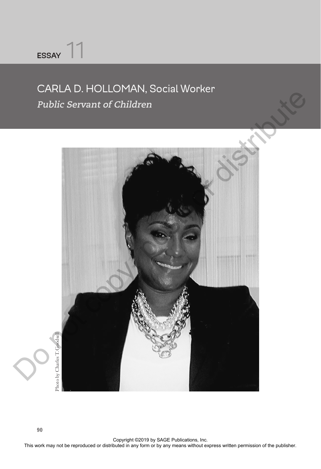## **ESSAY** 11

## CARLA D. HOLLOMAN, Social Worker **Public Servant of Children**

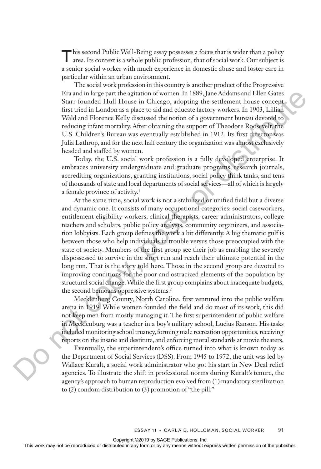T his second Public Well-Being essay possesses a focus that is wider than a policy area. Its context is a whole public profession, that of social work. Our subject is a senior social worker with much experience in domestic abuse and foster care in particular within an urban environment.

The social work profession in this country is another product of the Progressive Era and in large part the agitation of women. In 1889, Jane Addams and Ellen Gates Starr founded Hull House in Chicago, adopting the settlement house concept first tried in London as a place to aid and educate factory workers. In 1903, Lillian Wald and Florence Kelly discussed the notion of a government bureau devoted to reducing infant mortality. After obtaining the support of Theodore Roosevelt, the U.S. Children's Bureau was eventually established in 1912. Its first director was Julia Lathrop, and for the next half century the organization was almost exclusively headed and staffed by women.

Today, the U.S. social work profession is a fully developed enterprise. It embraces university undergraduate and graduate programs, research journals, accrediting organizations, granting institutions, social policy think tanks, and tens of thousands of state and local departments of social services—all of which is largely a female province of activity.<sup>1</sup>

At the same time, social work is not a stabilized or unified field but a diverse and dynamic one. It consists of many occupational categories: social caseworkers, entitlement eligibility workers, clinical therapists, career administrators, college teachers and scholars, public policy analysts, community organizers, and association lobbyists. Each group defines the work a bit differently. A big thematic gulf is between those who help individuals in trouble versus those preoccupied with the state of society. Members of the first group see their job as enabling the severely dispossessed to survive in the short run and reach their ultimate potential in the long run. That is the story told here. Those in the second group are devoted to improving conditions for the poor and ostracized elements of the population by structural social change. While the first group complains about inadequate budgets, the second bemoans oppressive systems.<sup>2</sup> EVERT INTERNATION THEOTECT INTERNATION CONTINUES INTERNATION INTERNATION THEOTECT THE THEOTECT INTERNATION CONTINUES INTERNATION THEOTECT INTERNATION CONTINUES WE CONSULT THEOTECT INTERNATION CONTINUES WE CONSULT THEOTECT

Mecklenberg County, North Carolina, first ventured into the public welfare arena in 1919. While women founded the field and do most of its work, this did not keep men from mostly managing it. The first superintendent of public welfare in Mecklenburg was a teacher in a boy's military school, Lucius Ranson. His tasks included monitoring school truancy, forming male recreation opportunities, receiving reports on the insane and destitute, and enforcing moral standards at movie theaters.

Eventually, the superintendent's office turned into what is known today as the Department of Social Services (DSS). From 1945 to 1972, the unit was led by Wallace Kuralt, a social work administrator who got his start in New Deal relief agencies. To illustrate the shift in professional norms during Kuralt's tenure, the agency's approach to human reproduction evolved from (1) mandatory sterilization to (2) condom distribution to (3) promotion of "the pill."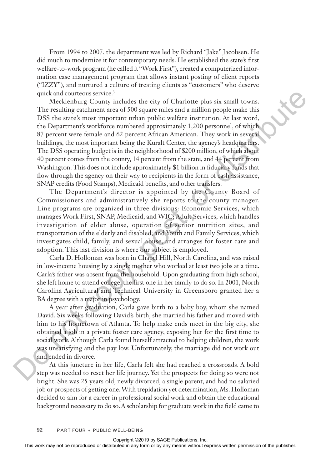From 1994 to 2007, the department was led by Richard "Jake" Jacobsen. He did much to modernize it for contemporary needs. He established the state's first welfare-to-work program (he called it "Work First"), created a computerized information case management program that allows instant posting of client reports ("IZZY"), and nurtured a culture of treating clients as "customers" who deserve quick and courteous service.<sup>3</sup>

Mecklenburg County includes the city of Charlotte plus six small towns. The resulting catchment area of 500 square miles and a million people make this DSS the state's most important urban public welfare institution. At last word, the Department's workforce numbered approximately 1,200 personnel, of which 87 percent were female and 62 percent African American. They work in several buildings, the most important being the Kuralt Center, the agency's headquarters. The DSS operating budget is in the neighborhood of \$200 million, of which about 40 percent comes from the county, 14 percent from the state, and 44 percent from Washington. This does not include approximately \$1 billion in fiduciary funds that flow through the agency on their way to recipients in the form of cash assistance, SNAP credits (Food Stamps), Medicaid benefits, and other transfers. quist and controus mean of 60 Charlotte plus six small trowns.<br>The resolution group includes the city of Charlotte are in a million perplemate this work.<br>In BS the states more imported in the relation permission of which i

The Department's director is appointed by the County Board of Commissioners and administratively she reports to the county manager. Line programs are organized in three divisions: Economic Services, which manages Work First, SNAP, Medicaid, and WIC; Adult Services, which handles investigation of elder abuse, operation of senior nutrition sites, and transportation of the elderly and disabled; and Youth and Family Services, which investigates child, family, and sexual abuse, and arranges for foster care and adoption. This last division is where our subject is employed.

Carla D. Holloman was born in Chapel Hill, North Carolina, and was raised in low-income housing by a single mother who worked at least two jobs at a time. Carla's father was absent from the household. Upon graduating from high school, she left home to attend college, the first one in her family to do so. In 2001, North Carolina Agricultural and Technical University in Greensboro granted her a BA degree with a major in psychology.

A year after graduation, Carla gave birth to a baby boy, whom she named David. Six weeks following David's birth, she married his father and moved with him to his hometown of Atlanta. To help make ends meet in the big city, she obtained a job in a private foster care agency, exposing her for the first time to social work. Although Carla found herself attracted to helping children, the work was unsatisfying and the pay low. Unfortunately, the marriage did not work out and ended in divorce.

At this juncture in her life, Carla felt she had reached a crossroads. A bold step was needed to reset her life journey. Yet the prospects for doing so were not bright. She was 25 years old, newly divorced, a single parent, and had no salaried job or prospects of getting one. With trepidation yet determination, Ms. Holloman decided to aim for a career in professional social work and obtain the educational background necessary to do so. A scholarship for graduate work in the field came to

**92** PART FOUR • PUBLIC WELL-BEING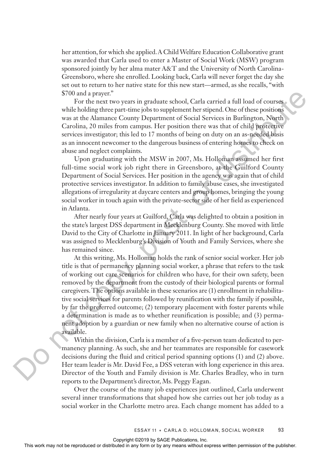her attention, for which she applied. A Child Welfare Education Collaborative grant was awarded that Carla used to enter a Master of Social Work (MSW) program sponsored jointly by her alma mater A&T and the University of North Carolina-Greensboro, where she enrolled. Looking back, Carla will never forget the day she set out to return to her native state for this new start—armed, as she recalls, "with \$700 and a prayer."

For the next two years in graduate school, Carla carried a full load of courses while holding three part-time jobs to supplement her stipend. One of these positions was at the Alamance County Department of Social Services in Burlington, North Carolina, 20 miles from campus. Her position there was that of child protective services investigator; this led to 17 months of being on duty on an as-needed basis as an innocent newcomer to the dangerous business of entering homes to check on abuse and neglect complaints.

Upon graduating with the MSW in 2007, Ms. Holloman assumed her first full-time social work job right there in Greensboro, at the Guilford County Department of Social Services. Her position in the agency was again that of child protective services investigator. In addition to family abuse cases, she investigated allegations of irregularity at daycare centers and group homes, bringing the young social worker in touch again with the private-sector side of her field as experienced in Atlanta.

After nearly four years at Guilford, Carla was delighted to obtain a position in the state's largest DSS department in Mecklenburg County. She moved with little David to the City of Charlotte in January 2011. In light of her background, Carla was assigned to Mecklenburg's Division of Youth and Family Services, where she has remained since.

At this writing, Ms. Holloman holds the rank of senior social worker. Her job title is that of permanency planning social worker, a phrase that refers to the task of working out care scenarios for children who have, for their own safety, been removed by the department from the custody of their biological parents or formal caregivers. The options available in these scenarios are (1) enrollment in rehabilitative social services for parents followed by reunification with the family if possible, by far the preferred outcome; (2) temporary placement with foster parents while a determination is made as to whether reunification is possible; and (3) permanent adoption by a guardian or new family when no alternative course of action is available. 5700 and proper."<br>
The relative business in graduate school, Carla carried a full both or orders was at the Alantame County Diaptartment of Social Services in Barilington, Nurth Carolina, 20 units from any means Har (car)

Within the division, Carla is a member of a five-person team dedicated to permanency planning. As such, she and her teammates are responsible for casework decisions during the fluid and critical period spanning options (1) and (2) above. Her team leader is Mr. David Fee, a DSS veteran with long experience in this area. Director of the Youth and Family division is Mr. Charles Bradley, who in turn reports to the Department's director, Ms. Peggy Eagan.

Over the course of the many job experiences just outlined, Carla underwent several inner transformations that shaped how she carries out her job today as a social worker in the Charlotte metro area. Each change moment has added to a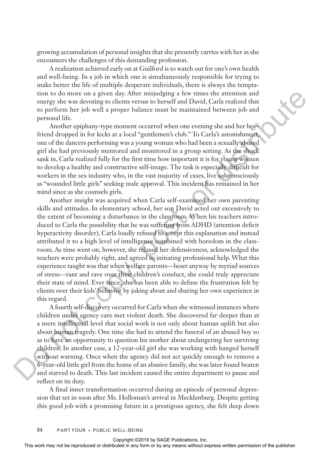growing accumulation of personal insights that she presently carries with her as she encounters the challenges of this demanding profession.

A realization achieved early on at Guilford is to watch out for one's own health and well-being. In a job in which one is simultaneously responsible for trying to make better the life of multiple desperate individuals, there is always the temptation to do more on a given day. After misjudging a few times the attention and energy she was devoting to clients versus to herself and David, Carla realized that to perform her job well a proper balance must be maintained between job and personal life.

Another epiphany-type moment occurred when one evening she and her boyfriend dropped in for kicks at a local "gentlemen's club." To Carla's astonishment, one of the dancers performing was a young woman who had been a sexually abused girl she had previously mentored and monitored in a group setting. As the shock sank in, Carla realized fully for the first time how important it is for young women to develop a healthy and constructive self-image. The task is especially difficult for workers in the sex industry who, in the vast majority of cases, live subconsciously as "wounded little girls" seeking male approval. This incident has remained in her mind since as she counsels girls.

Another insight was acquired when Carla self-examined her own parenting skills and attitudes. In elementary school, her son David acted out excessively to the extent of becoming a disturbance in the classroom. When his teachers introduced to Carla the possibility that he was suffering from ADHD (attention deficit hyperactivity disorder), Carla loudly refused to accept this explanation and instead attributed it to a high level of intelligence combined with boredom in the classroom. As time went on, however, she relaxed her defensiveness, acknowledged the teachers were probably right, and agreed to initiating professional help. What this experience taught was that when welfare parents—beset anyway by myriad sources of stress—rant and rave over their children's conduct, she could truly appreciate their state of mind. Ever since, she has been able to defuse the frustration felt by clients over their kids' behavior by joking about and sharing her own experience in this regard. tion to do more on a given thy Alter missionliging a few times the restribution and the perform bereform or the publisher and the setting or the publisher. This points are a setting the publisher of the publisher of the p

A fourth self-discovery occurred for Carla when she witnessed instances where children under agency care met violent death. She discovered far deeper than at a mere intellectual level that social work is not only about human uplift but also about human tragedy. One time she had to attend the funeral of an abused boy so as to have an opportunity to question his mother about endangering her surviving children. In another case, a 12-year-old girl she was working with hanged herself without warning. Once when the agency did not act quickly enough to remove a 6-year-old little girl from the home of an abusive family, she was later found beaten and starved to death. This last incident caused the entire department to pause and reflect on its duty.

A final inner transformation occurred during an episode of personal depression that set in soon after Ms. Holloman's arrival in Mecklenburg. Despite getting this good job with a promising future in a prestigous agency, she felt deep down

**94** PART FOUR • PUBLIC WELL-BEING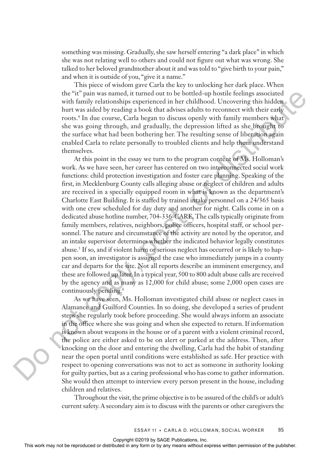something was missing. Gradually, she saw herself entering "a dark place" in which she was not relating well to others and could not figure out what was wrong. She talked to her beloved grandmother about it and was told to "give birth to your pain," and when it is outside of you, "give it a name."

This piece of wisdom gave Carla the key to unlocking her dark place. When the "it" pain was named, it turned out to be bottled-up hostile feelings associated with family relationships experienced in her childhood. Uncovering this hidden hurt was aided by reading a book that advises adults to reconnect with their early roots.4 In due course, Carla began to discuss openly with family members what she was going through, and gradually, the depression lifted as she brought to the surface what had been bothering her. The resulting sense of liberation again enabled Carla to relate personally to troubled clients and help them understand themselves.

At this point in the essay we turn to the program content of Ms. Holloman's work. As we have seen, her career has centered on two interconnected social work functions: child protection investigation and foster care planning. Speaking of the first, in Mecklenburg County calls alleging abuse or neglect of children and adults are received in a specially equipped room in what is known as the department's Charlotte East Building. It is staffed by trained intake personnel on a 24/365 basis with one crew scheduled for day duty and another for night. Calls come in on a dedicated abuse hotline number, 704-336-CARE. The calls typically originate from family members, relatives, neighbors, police officers, hospital staff, or school personnel. The nature and circumstance of the activity are noted by the operator, and an intake supervisor determines whether the indicated behavior legally constitutes abuse.<sup>5</sup> If so, and if violent harm or serious neglect has occurred or is likely to happen soon, an investigator is assigned the case who immediately jumps in a county car and departs for the site. Not all reports describe an imminent emergency, and these are followed up later. In a typical year, 500 to 800 adult abuse calls are received by the agency and as many as 12,000 for child abuse; some 2,000 open cases are continuously pending.6 the "it" paint was marred, it turned out to be botted up hostelis with freeling a society of the rest side by reading a botted in any check that any coson at out the time series with the rest of the same gains the same gai

As we have seen, Ms. Holloman investigated child abuse or neglect cases in Alamance and Guilford Counties. In so doing, she developed a series of prudent steps she regularly took before proceeding. She would always inform an associate in the office where she was going and when she expected to return. If information is known about weapons in the house or of a parent with a violent criminal record, the police are either asked to be on alert or parked at the address. Then, after knocking on the door and entering the dwelling, Carla had the habit of standing near the open portal until conditions were established as safe. Her practice with respect to opening conversations was not to act as someone in authority looking for guilty parties, but as a caring professional who has come to gather information. She would then attempt to interview every person present in the house, including children and relatives.

Throughout the visit, the prime objective is to be assured of the child's or adult's current safety. A secondary aim is to discuss with the parents or other caregivers the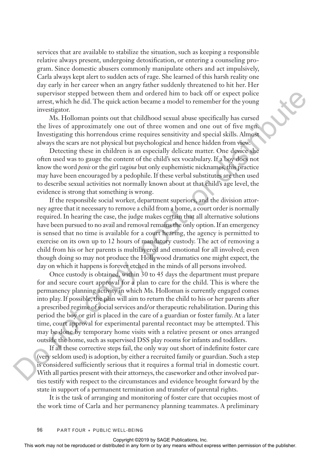services that are available to stabilize the situation, such as keeping a responsible relative always present, undergoing detoxification, or entering a counseling program. Since domestic abusers commonly manipulate others and act impulsively, Carla always kept alert to sudden acts of rage. She learned of this harsh reality one day early in her career when an angry father suddenly threatened to hit her. Her supervisor stepped between them and ordered him to back off or expect police arrest, which he did. The quick action became a model to remember for the young investigator.

Ms. Holloman points out that childhood sexual abuse specifically has cursed the lives of approximately one out of three women and one out of five men. Investigating this horrendous crime requires sensitivity and special skills. Almost always the scars are not physical but psychological and hence hidden from view.

Detecting these in children is an especially delicate matter. One device she often used was to gauge the content of the child's sex vocabulary. If a boy does not know the word *penis* or the girl *vagina* but only euphemistic nicknames, this practice may have been encouraged by a pedophile. If these verbal substitutes are then used to describe sexual activities not normally known about at that child's age level, the evidence is strong that something is wrong.

If the responsible social worker, department superiors, and the division attorney agree that it necessary to remove a child from a home, a court order is normally required. In hearing the case, the judge makes certain that all alternative solutions have been pursued to no avail and removal remains the only option. If an emergency is sensed that no time is available for a court hearing, the agency is permitted to exercise on its own up to 12 hours of mandatory custody. The act of removing a child from his or her parents is multilayered and emotional for all involved; even though doing so may not produce the Hollywood dramatics one might expect, the day on which it happens is forever etched in the minds of all persons involved. superviolong equal to the results of the results of the expression or the results of the results with the results of approximately one can obtained abuse spacefully has careed the lives of approximately one can obtained a

Once custody is obtained, within 30 to 45 days the department must prepare for and secure court approval for a plan to care for the child. This is where the permanency planning activity in which Ms. Holloman is currently engaged comes into play. If possible, the plan will aim to return the child to his or her parents after a prescribed regime of social services and/or therapeutic rehabilitation. During this period the boy or girl is placed in the care of a guardian or foster family. At a later time, court approval for experimental parental recontact may be attempted. This may be done by temporary home visits with a relative present or ones arranged outside the home, such as supervised DSS play rooms for infants and toddlers.

If all these corrective steps fail, the only way out short of indefinite foster care (very seldom used) is adoption, by either a recruited family or guardian. Such a step is considered sufficiently serious that it requires a formal trial in domestic court. With all parties present with their attorneys, the caseworker and other involved parties testify with respect to the circumstances and evidence brought forward by the state in support of a permanent termination and transfer of parental rights.

It is the task of arranging and monitoring of foster care that occupies most of the work time of Carla and her permanency planning teammates. A preliminary

**96** PART FOUR • PUBLIC WELL-BEING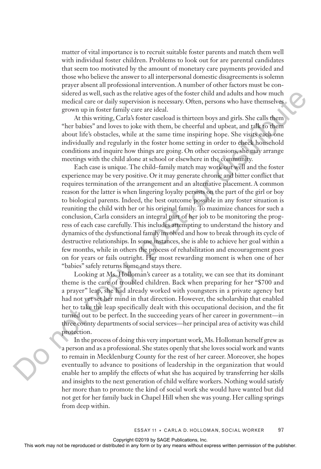matter of vital importance is to recruit suitable foster parents and match them well with individual foster children. Problems to look out for are parental candidates that seem too motivated by the amount of monetary care payments provided and those who believe the answer to all interpersonal domestic disagreements is solemn prayer absent all professional intervention. A number of other factors must be considered as well, such as the relative ages of the foster child and adults and how much medical care or daily supervision is necessary. Often, persons who have themselves grown up in foster family care are ideal.

At this writing, Carla's foster caseload is thirteen boys and girls. She calls them "her babies" and loves to joke with them, be cheerful and upbeat, and talk to them about life's obstacles, while at the same time inspiring hope. She visits each one individually and regularly in the foster home setting in order to check household conditions and inquire how things are going. On other occasions, she may arrange meetings with the child alone at school or elsewhere in the community.

Each case is unique. The child–family match may work out well and the foster experience may be very positive. Or it may generate chronic and bitter conflict that requires termination of the arrangement and an alternative placement. A common reason for the latter is when lingering loyalty persists on the part of the girl or boy to biological parents. Indeed, the best outcome possible in any foster situation is reuniting the child with her or his original family. To maximize chances for such a conclusion, Carla considers an integral part of her job to be monitoring the progress of each case carefully. This includes attempting to understand the history and dynamics of the dysfunctional family involved and how to break through its cycle of destructive relationships. In some instances, she is able to achieve her goal within a few months, while in others the process of rehabilitation and encouragement goes on for years or fails outright. Her most rewarding moment is when one of her "babies" safely returns home and stays there. sidered as well as the relation of the foster child may delit same of the foster child may not be reproduced or the publisher or by any means with the relationship of the relationship with the relationship of the relations

Looking at Ms. Holloman's career as a totality, we can see that its dominant theme is the care of troubled children. Back when preparing for her "\$700 and a prayer" leap, she had already worked with youngsters in a private agency but had not yet set her mind in that direction. However, the scholarship that enabled her to take the leap specifically dealt with this occupational decision, and the fit turned out to be perfect. In the succeeding years of her career in government—in three county departments of social services—her principal area of activity was child protection.

In the process of doing this very important work, Ms. Holloman herself grew as a person and as a professional. She states openly that she loves social work and wants to remain in Mecklenburg County for the rest of her career. Moreover, she hopes eventually to advance to positions of leadership in the organization that would enable her to amplify the effects of what she has acquired by transferring her skills and insights to the next generation of child welfare workers. Nothing would satisfy her more than to promote the kind of social work she would have wanted but did not get for her family back in Chapel Hill when she was young. Her calling springs from deep within.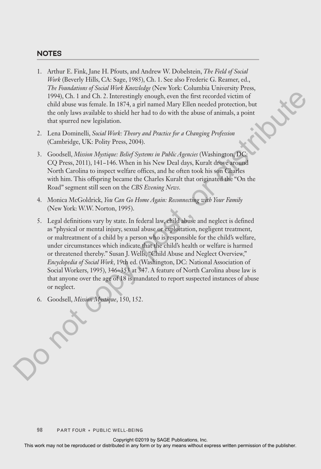## **NOTES**

- 1. Arthur E. Fink, Jane H. Pfouts, and Andrew W. Dobelstein, *The Field of Social Work* (Beverly Hills, CA: Sage, 1985), Ch. 1. See also Frederic G. Reamer, ed., *The Foundations of Social Work Knowledge* (New York: Columbia University Press, 1994), Ch. 1 and Ch. 2. Interestingly enough, even the first recorded victim of child abuse was female. In 1874, a girl named Mary Ellen needed protection, but the only laws available to shield her had to do with the abuse of animals, a point that spurred new legislation.
- 2. Lena Dominelli, *Social Work: Theory and Practice for a Changing Profession* (Cambridge, UK: Polity Press, 2004).
- 3. Goodsell, *Mission Mystique: Belief Systems in Public Agencies* (Washington, DC: CQ Press, 2011), 141−146. When in his New Deal days, Kuralt drove around North Carolina to inspect welfare offices, and he often took his son Charles with him. This offspring became the Charles Kuralt that originated the "On the Road" segment still seen on the *CBS Evening News*.
- 4. Monica McGoldrick, *You Can Go Home Again: Reconnecting with Your Family* (New York: W.W. Norton, 1995).
- 5. Legal definitions vary by state. In federal law, child abuse and neglect is defined as "physical or mental injury, sexual abuse or exploitation, negligent treatment, or maltreatment of a child by a person who is responsible for the child's welfare, under circumstances which indicate that the child's health or welfare is harmed or threatened thereby." Susan J. Wells, "Child Abuse and Neglect Overview," *Encyclopedia of Social Work*, 19th ed. (Washington, DC: National Association of Social Workers, 1995), 346−353 at 347. A feature of North Carolina abuse law is that anyone over the age of 18 is mandated to report suspected instances of abuse or neglect. The representation of the representation of the representation of the representation of the representation of the representation of the representation of the public distributed in shield to be shield to the show or an imm
	- 6. Goodsell, *Mission Mystique*, 150, 152.